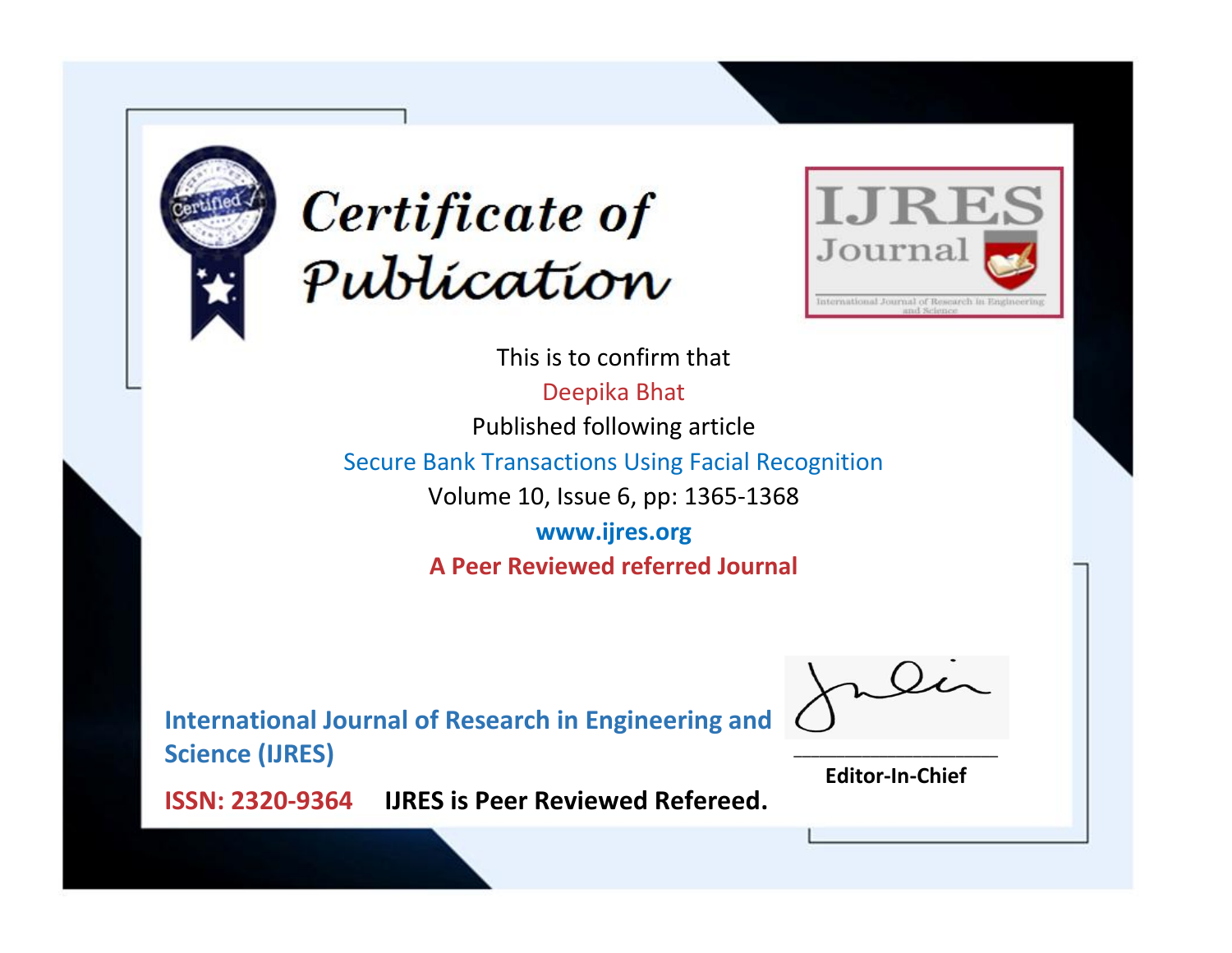



This is to confirm that Deepika Bhat Published following article Secure Bank Transactions Using Facial Recognition Volume 10, Issue 6, pp: 1365-1368 **www.ijres.org A Peer Reviewed referred Journal**

**International Journal of Research in Engineering and Science (IJRES)**

\_\_\_\_\_\_\_\_\_\_\_\_\_\_\_\_\_\_\_\_\_\_\_\_ **Editor-In-Chief**

**Journal.**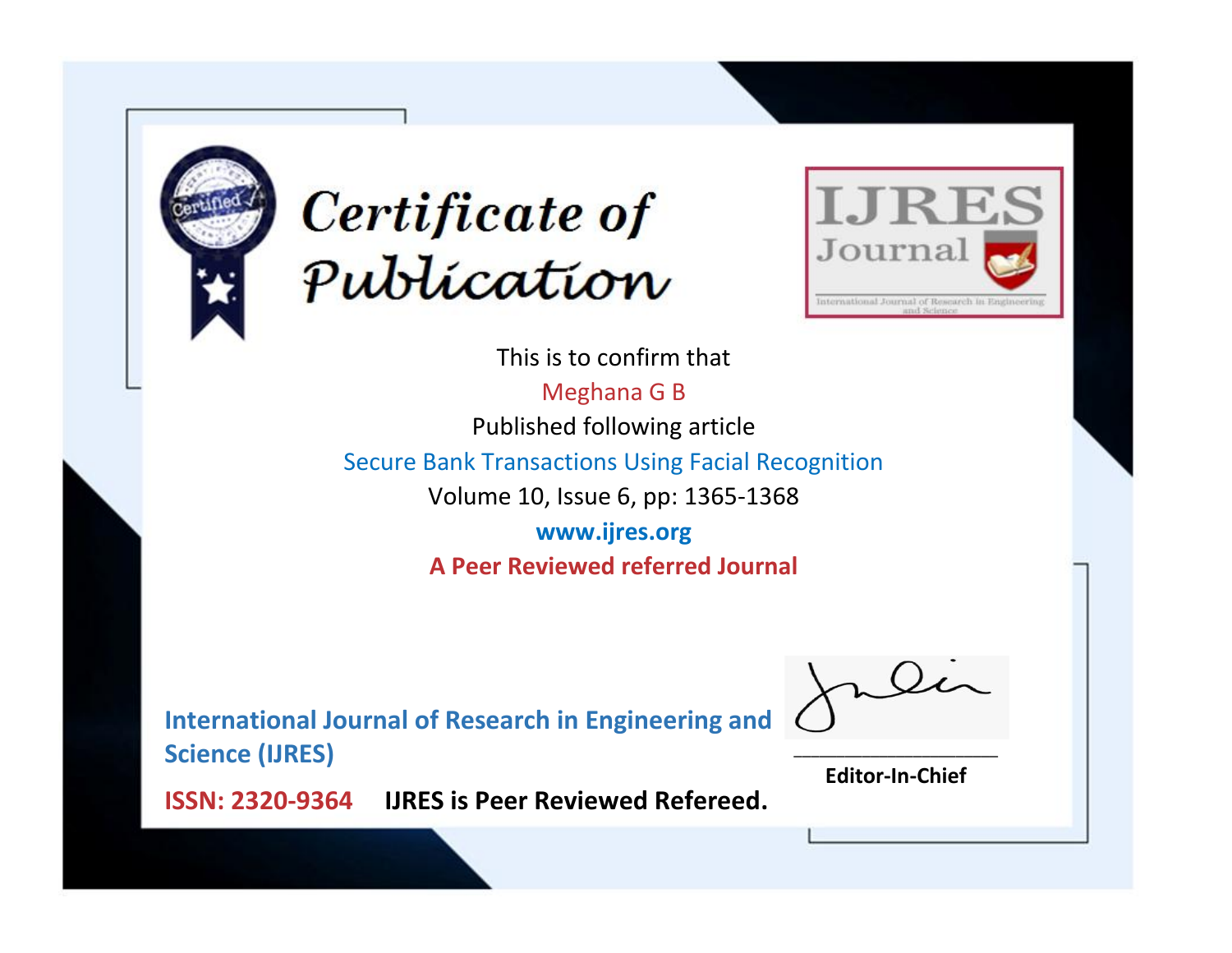



This is to confirm that Meghana G B Published following article Secure Bank Transactions Using Facial Recognition Volume 10, Issue 6, pp: 1365-1368 **www.ijres.org A Peer Reviewed referred Journal**

**International Journal of Research in Engineering and Science (IJRES)**

\_\_\_\_\_\_\_\_\_\_\_\_\_\_\_\_\_\_\_\_\_\_\_\_ **Editor-In-Chief**

**Journal.**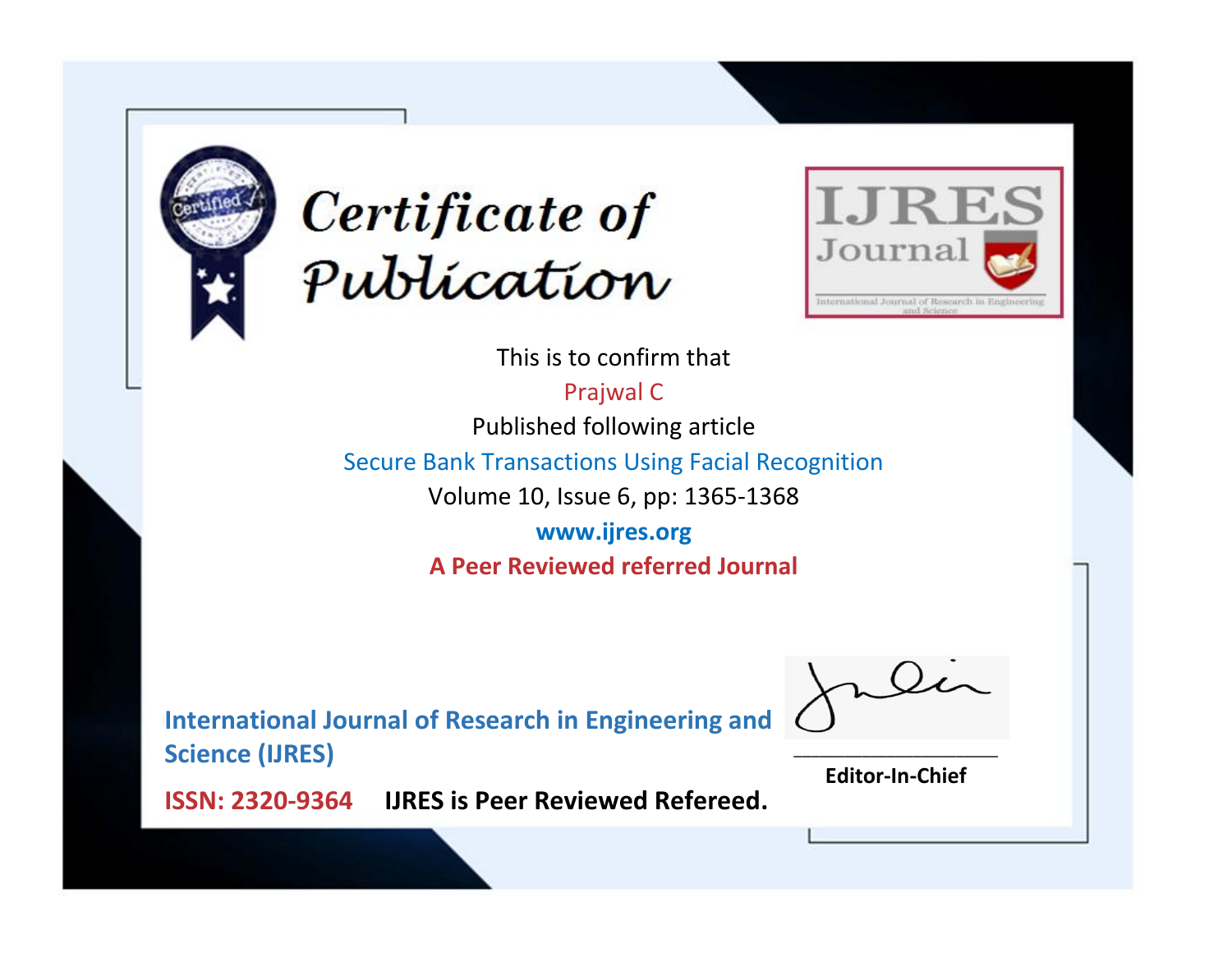



This is to confirm that

Prajwal C Published following article

Secure Bank Transactions Using Facial Recognition

Volume 10, Issue 6, pp: 1365-1368

**www.ijres.org A Peer Reviewed referred Journal**

**International Journal of Research in Engineering and Science (IJRES)**

\_\_\_\_\_\_\_\_\_\_\_\_\_\_\_\_\_\_\_\_\_\_\_\_ **Editor-In-Chief**

**Journal.**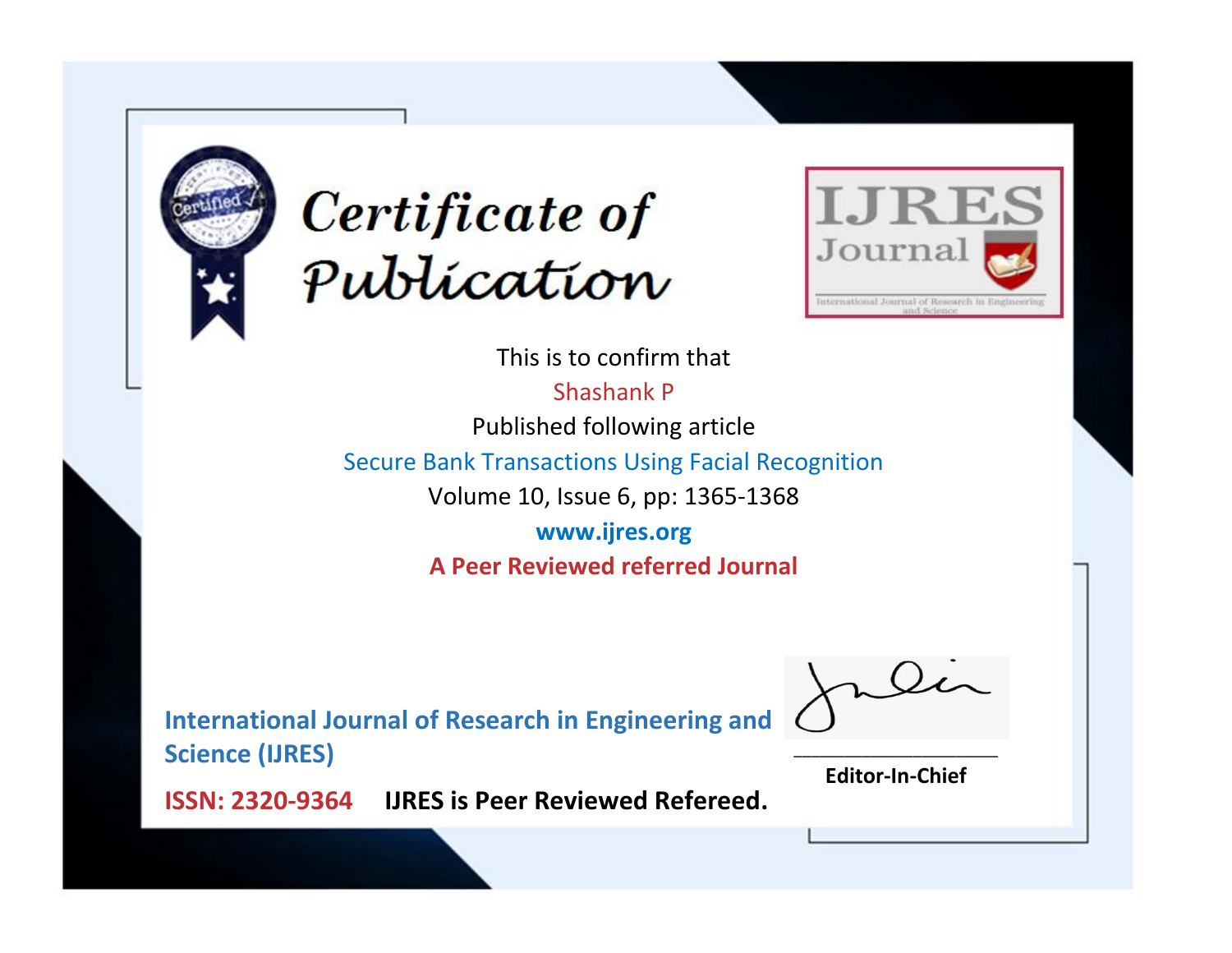



This is to confirm that Shashank P Published following article

Secure Bank Transactions Using Facial Recognition

Volume 10, Issue 6, pp: 1365-1368

**www.ijres.org A Peer Reviewed referred Journal**

**International Journal of Research in Engineering and Science (IJRES)**

\_\_\_\_\_\_\_\_\_\_\_\_\_\_\_\_\_\_\_\_\_\_\_\_ **Editor-In-Chief**

**Journal.**